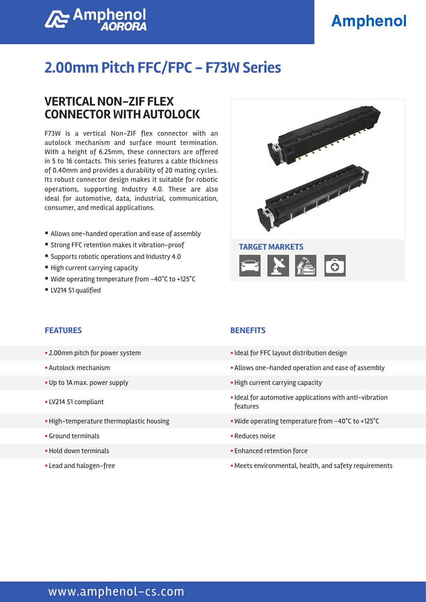# **Amphenol**



# **2.00mm Pitch FFC/FPC - F73W Series**

### **VERTICAL NON-ZIF FLEX CONNECTOR WITH AUTOLOCK**

F73W is a vertical Non-ZIF flex connector with an autolock mechanism and surface mount termination. With a height of 6.25mm, these connectors are offered in 5 to 16 contacts. This series features a cable thickness of 0.40mm and provides a durability of 20 mating cycles. Its robust connector design makes it suitable for robotic operations, supporting Industry 4.0. These are also ideal for automotive, data, industrial, communication, consumer, and medical applications.

- Allows one-handed operation and ease of assembly
- Strong FFC retention makes it vibration-proof
- Supports robotic operations and Industry 4.0
- High current carrying capacity
- Wide operating temperature from -40°C to +125°C
- LV214 S1 qualified



#### **FEATURES BENEFITS**

- 
- 
- 
- 
- 
- § Ground terminals § Reduces noise
- 
- 

- 2.00mm pitch for power system  $\blacksquare$  Ideal for FFC layout distribution design
- Autolock mechanism **Exercise 2** Allows one-handed operation and ease of assembly
- Up to 1A max. power supply **EXECUTE:** The High current carrying capacity
- § LV214 S1 compliant § Ideal for automotive applications with anti-vibration features
- **High-temperature thermoplastic housing**  $\blacksquare$  **Wide operating temperature from -40°C to +125°C** 
	-
- § Hold down terminals § Enhanced retention force
- Lead and halogen-free **Exercise 20 and halogen-free Seminonental** reading the Meets environmental, health, and safety requirements